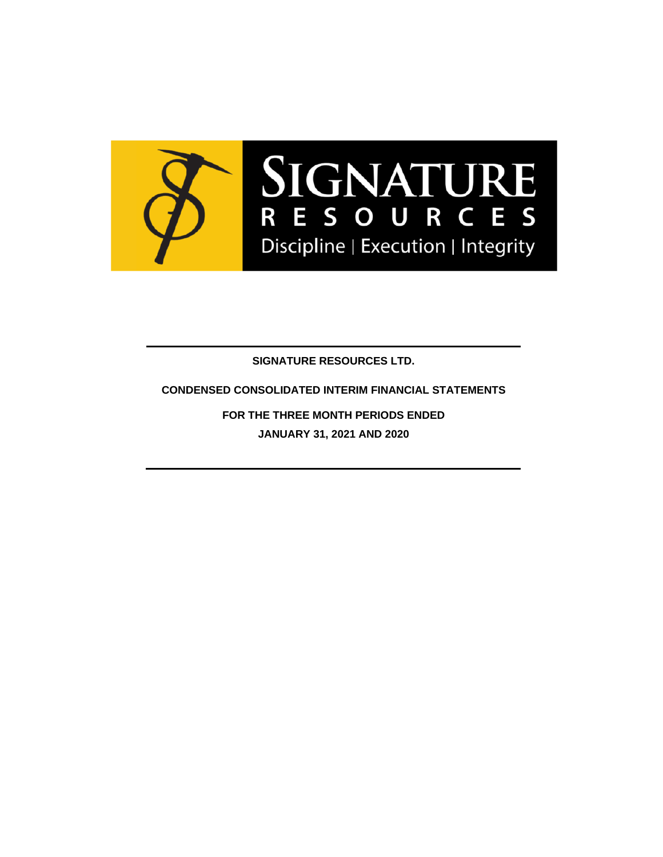

**SIGNATURE RESOURCES LTD.**

**CONDENSED CONSOLIDATED INTERIM FINANCIAL STATEMENTS**

**FOR THE THREE MONTH PERIODS ENDED JANUARY 31, 2021 AND 2020**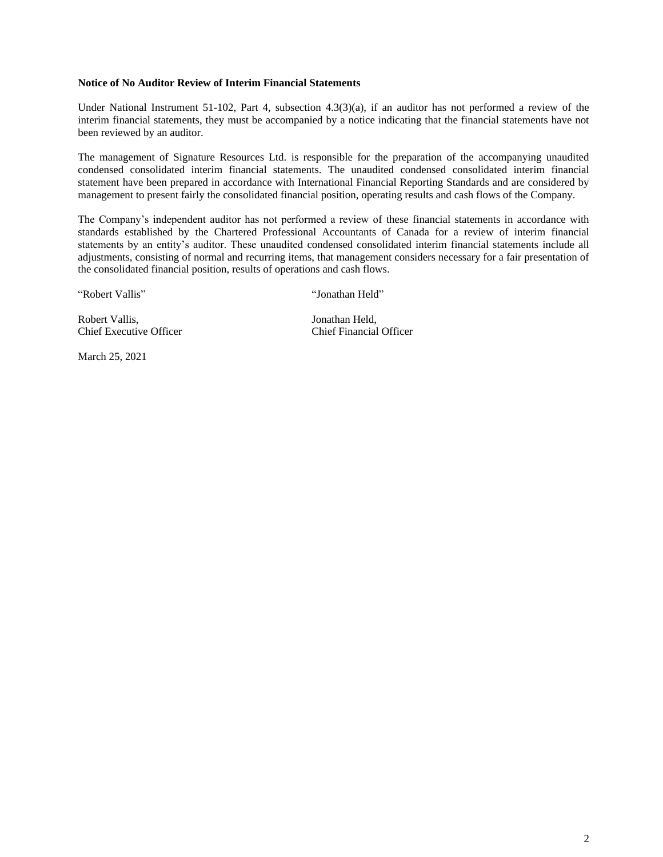#### **Notice of No Auditor Review of Interim Financial Statements**

Under National Instrument 51-102, Part 4, subsection 4.3(3)(a), if an auditor has not performed a review of the interim financial statements, they must be accompanied by a notice indicating that the financial statements have not been reviewed by an auditor.

The management of Signature Resources Ltd. is responsible for the preparation of the accompanying unaudited condensed consolidated interim financial statements. The unaudited condensed consolidated interim financial statement have been prepared in accordance with International Financial Reporting Standards and are considered by management to present fairly the consolidated financial position, operating results and cash flows of the Company.

The Company's independent auditor has not performed a review of these financial statements in accordance with standards established by the Chartered Professional Accountants of Canada for a review of interim financial statements by an entity's auditor. These unaudited condensed consolidated interim financial statements include all adjustments, consisting of normal and recurring items, that management considers necessary for a fair presentation of the consolidated financial position, results of operations and cash flows.

"Robert Vallis" "Jonathan Held"

Robert Vallis, Sonathan Held, Jonathan Held, Chief Executive Officer Chief Financial Officer

March 25, 2021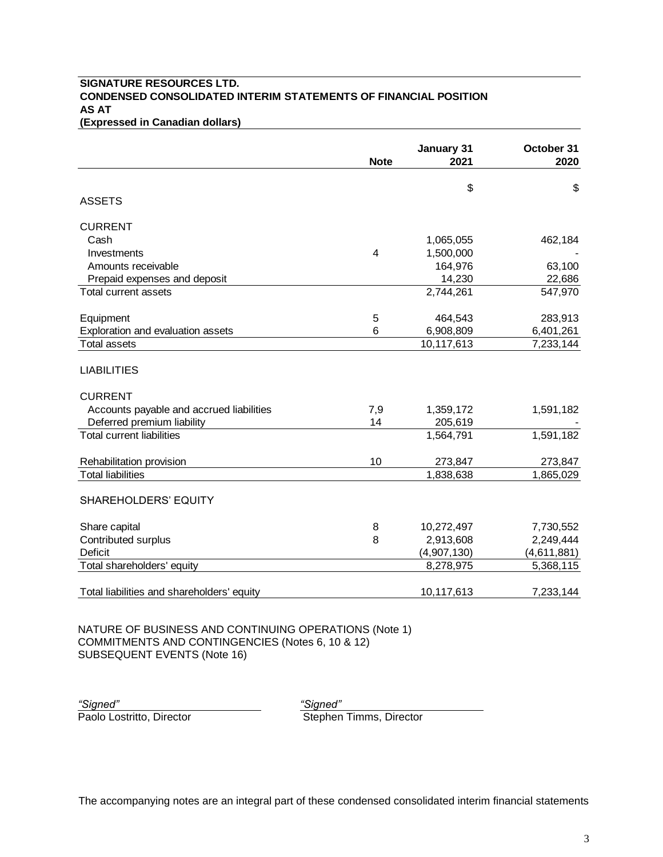### **SIGNATURE RESOURCES LTD. CONDENSED CONSOLIDATED INTERIM STATEMENTS OF FINANCIAL POSITION AS AT (Expressed in Canadian dollars)**

|                                            | <b>Note</b> | January 31<br>2021 | October 31<br>2020 |
|--------------------------------------------|-------------|--------------------|--------------------|
|                                            |             |                    |                    |
|                                            |             | \$                 | \$                 |
| <b>ASSETS</b>                              |             |                    |                    |
| <b>CURRENT</b>                             |             |                    |                    |
| Cash                                       |             | 1,065,055          | 462,184            |
| Investments                                | 4           | 1,500,000          |                    |
| Amounts receivable                         |             | 164,976            | 63,100             |
| Prepaid expenses and deposit               |             | 14,230             | 22,686             |
| Total current assets                       |             | 2,744,261          | 547,970            |
| Equipment                                  | 5           | 464,543            | 283,913            |
| Exploration and evaluation assets          | 6           | 6,908,809          | 6,401,261          |
| Total assets                               |             | 10,117,613         | 7,233,144          |
| <b>LIABILITIES</b><br><b>CURRENT</b>       |             |                    |                    |
| Accounts payable and accrued liabilities   | 7,9         | 1,359,172          | 1,591,182          |
| Deferred premium liability                 | 14          | 205,619            |                    |
| <b>Total current liabilities</b>           |             | 1,564,791          | 1,591,182          |
| Rehabilitation provision                   | 10          | 273,847            | 273,847            |
| <b>Total liabilities</b>                   |             | 1,838,638          | 1,865,029          |
| SHAREHOLDERS' EQUITY                       |             |                    |                    |
| Share capital                              | 8           | 10,272,497         | 7,730,552          |
| Contributed surplus                        | 8           | 2,913,608          | 2,249,444          |
| <b>Deficit</b>                             |             | (4,907,130)        | (4,611,881)        |
| Total shareholders' equity                 |             | 8,278,975          | 5,368,115          |
| Total liabilities and shareholders' equity |             | 10,117,613         | 7,233,144          |

NATURE OF BUSINESS AND CONTINUING OPERATIONS (Note 1) COMMITMENTS AND CONTINGENCIES (Notes 6, 10 & 12) SUBSEQUENT EVENTS (Note 16)

*"Signed" "Signed"*

**Stephen Timms, Director**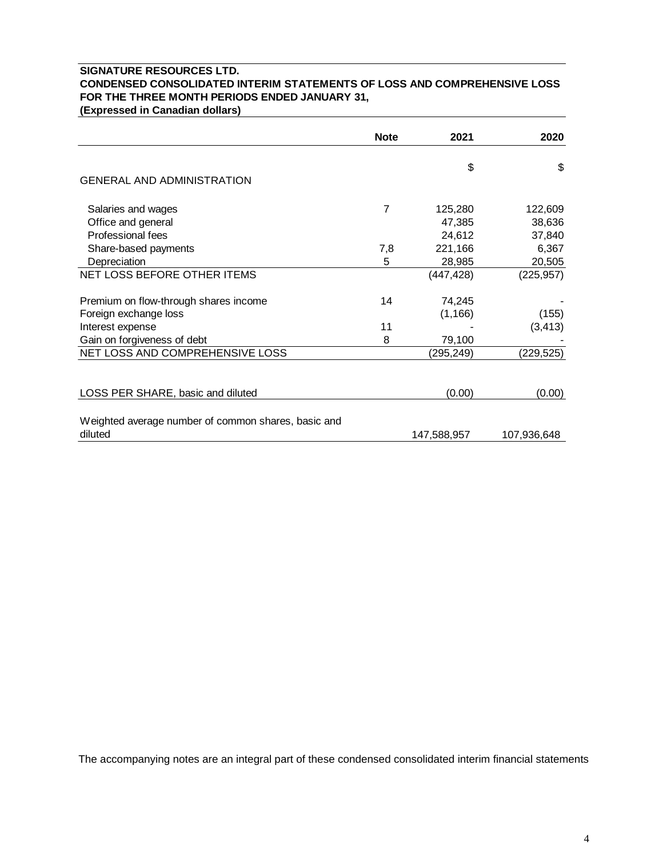## **SIGNATURE RESOURCES LTD. CONDENSED CONSOLIDATED INTERIM STATEMENTS OF LOSS AND COMPREHENSIVE LOSS FOR THE THREE MONTH PERIODS ENDED JANUARY 31,**

**(Expressed in Canadian dollars)**

|                                                     | <b>Note</b> | 2021        | 2020        |
|-----------------------------------------------------|-------------|-------------|-------------|
|                                                     |             | \$          | \$          |
| <b>GENERAL AND ADMINISTRATION</b>                   |             |             |             |
| Salaries and wages                                  | 7           | 125,280     | 122,609     |
| Office and general                                  |             | 47,385      | 38,636      |
| Professional fees                                   |             | 24,612      | 37,840      |
| Share-based payments                                | 7,8         | 221,166     | 6,367       |
| Depreciation                                        | 5           | 28,985      | 20,505      |
| NET LOSS BEFORE OTHER ITEMS                         |             | (447, 428)  | (225, 957)  |
| Premium on flow-through shares income               | 14          | 74,245      |             |
| Foreign exchange loss                               |             | (1, 166)    | (155)       |
| Interest expense                                    | 11          |             | (3, 413)    |
| Gain on forgiveness of debt                         | 8           | 79,100      |             |
| NET LOSS AND COMPREHENSIVE LOSS                     |             | (295, 249)  | (229, 525)  |
| LOSS PER SHARE, basic and diluted                   |             | (0.00)      | (0.00)      |
| Weighted average number of common shares, basic and |             |             |             |
| diluted                                             |             | 147,588,957 | 107,936,648 |

The accompanying notes are an integral part of these condensed consolidated interim financial statements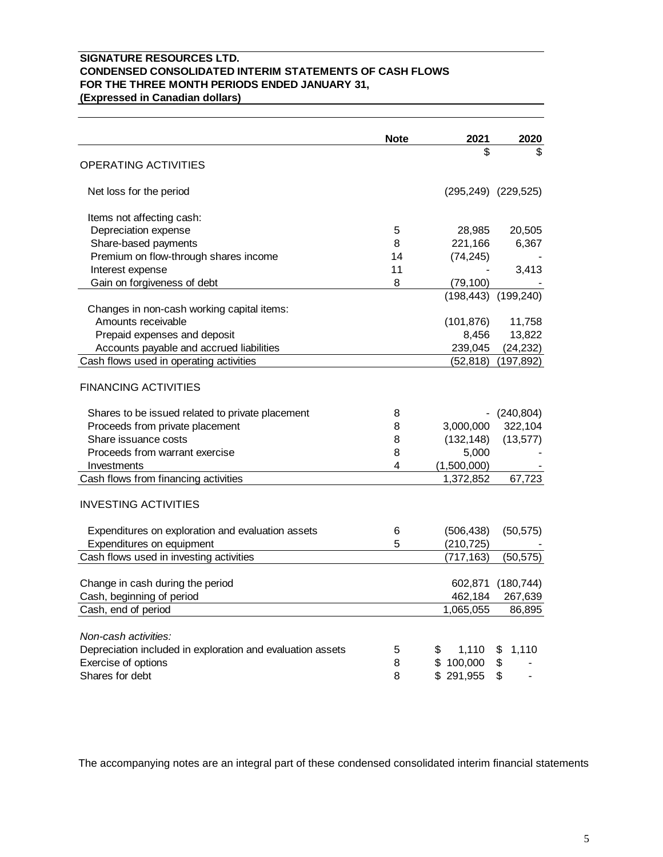## **SIGNATURE RESOURCES LTD. CONDENSED CONSOLIDATED INTERIM STATEMENTS OF CASH FLOWS FOR THE THREE MONTH PERIODS ENDED JANUARY 31, (Expressed in Canadian dollars)**

|                                                            | <b>Note</b> | 2021        | 2020                      |
|------------------------------------------------------------|-------------|-------------|---------------------------|
|                                                            |             | \$          | \$                        |
| <b>OPERATING ACTIVITIES</b>                                |             |             |                           |
| Net loss for the period                                    |             |             | $(295, 249)$ $(229, 525)$ |
| Items not affecting cash:                                  |             |             |                           |
| Depreciation expense                                       | 5           | 28,985      | 20,505                    |
| Share-based payments                                       | 8           | 221,166     | 6,367                     |
| Premium on flow-through shares income                      | 14          | (74, 245)   |                           |
| Interest expense                                           | 11          |             | 3,413                     |
| Gain on forgiveness of debt                                | 8           | (79, 100)   |                           |
|                                                            |             |             | $(198, 443)$ $(199, 240)$ |
| Changes in non-cash working capital items:                 |             |             |                           |
| Amounts receivable                                         |             | (101, 876)  | 11,758                    |
| Prepaid expenses and deposit                               |             | 8,456       | 13,822                    |
| Accounts payable and accrued liabilities                   |             | 239,045     | (24, 232)                 |
| Cash flows used in operating activities                    |             | (52, 818)   | (197, 892)                |
|                                                            |             |             |                           |
| <b>FINANCING ACTIVITIES</b>                                |             |             |                           |
| Shares to be issued related to private placement           | 8           |             | (240, 804)                |
| Proceeds from private placement                            | 8           | 3,000,000   | 322,104                   |
| Share issuance costs                                       | 8           | (132, 148)  | (13, 577)                 |
| Proceeds from warrant exercise                             | 8           | 5,000       |                           |
| Investments                                                | 4           | (1,500,000) |                           |
| Cash flows from financing activities                       |             | 1,372,852   | 67,723                    |
| <b>INVESTING ACTIVITIES</b>                                |             |             |                           |
|                                                            | 6           | (506, 438)  |                           |
| Expenditures on exploration and evaluation assets          | 5           |             | (50, 575)                 |
| Expenditures on equipment                                  |             | (210, 725)  |                           |
| Cash flows used in investing activities                    |             | (717, 163)  | (50, 575)                 |
| Change in cash during the period                           |             |             | 602,871 (180,744)         |
| Cash, beginning of period                                  |             | 462,184     | 267,639                   |
| Cash, end of period                                        |             | 1,065,055   | 86,895                    |
|                                                            |             |             |                           |
| Non-cash activities:                                       |             |             |                           |
| Depreciation included in exploration and evaluation assets | 5           | \$<br>1,110 | 1,110<br>\$               |
| Exercise of options                                        | 8           | \$100,000   | \$                        |
| Shares for debt                                            | 8           | \$291,955   | \$                        |

The accompanying notes are an integral part of these condensed consolidated interim financial statements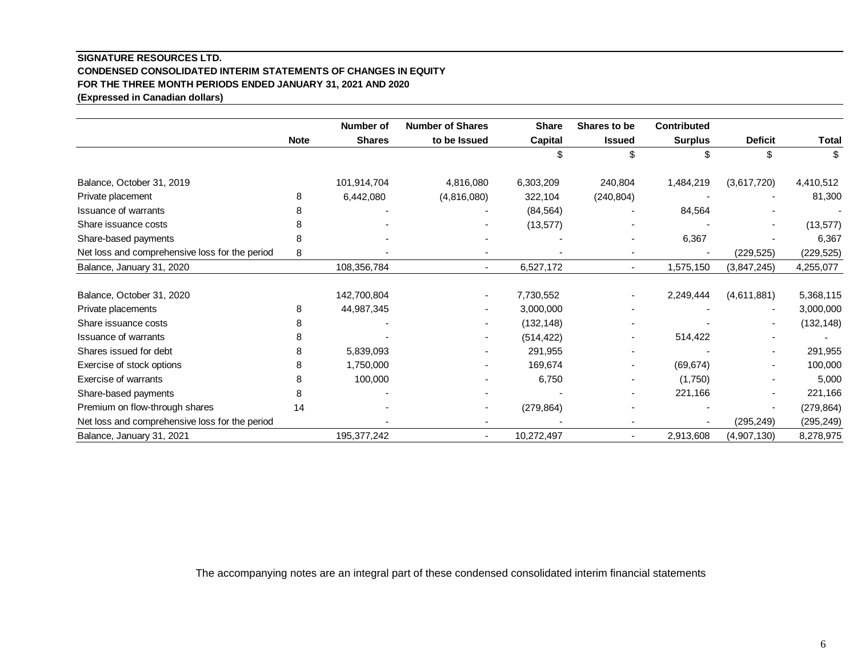## **SIGNATURE RESOURCES LTD. CONDENSED CONSOLIDATED INTERIM STATEMENTS OF CHANGES IN EQUITY FOR THE THREE MONTH PERIODS ENDED JANUARY 31, 2021 AND 2020 (Expressed in Canadian dollars)**

|                                                |             | Number of     | <b>Number of Shares</b> | <b>Share</b> | Shares to be             | <b>Contributed</b> |                |            |
|------------------------------------------------|-------------|---------------|-------------------------|--------------|--------------------------|--------------------|----------------|------------|
|                                                | <b>Note</b> | <b>Shares</b> | to be Issued            | Capital      | <b>Issued</b>            | <b>Surplus</b>     | <b>Deficit</b> | Total      |
|                                                |             |               |                         |              | ß.                       | \$                 | \$             |            |
| Balance, October 31, 2019                      |             | 101,914,704   | 4,816,080               | 6,303,209    | 240,804                  | 1,484,219          | (3,617,720)    | 4,410,512  |
| Private placement                              | 8           | 6,442,080     | (4,816,080)             | 322,104      | (240, 804)               |                    |                | 81,300     |
| <b>Issuance of warrants</b>                    |             |               |                         | (84, 564)    |                          | 84,564             |                |            |
| Share issuance costs                           |             |               |                         | (13, 577)    |                          |                    |                | (13, 577)  |
| Share-based payments                           | 8           |               |                         |              |                          | 6,367              |                | 6,367      |
| Net loss and comprehensive loss for the period | 8           |               |                         |              | $\overline{\phantom{a}}$ |                    | (229, 525)     | (229, 525) |
| Balance, January 31, 2020                      |             | 108,356,784   | $\sim$                  | 6,527,172    | ٠                        | 1,575,150          | (3,847,245)    | 4,255,077  |
| Balance, October 31, 2020                      |             | 142,700,804   |                         | 7,730,552    |                          | 2,249,444          | (4,611,881)    | 5,368,115  |
| Private placements                             | 8           | 44,987,345    |                         | 3,000,000    |                          |                    |                | 3,000,000  |
| Share issuance costs                           |             |               |                         | (132, 148)   |                          |                    |                | (132, 148) |
| <b>Issuance of warrants</b>                    |             |               |                         | (514, 422)   | ٠                        | 514,422            |                |            |
| Shares issued for debt                         | 8           | 5,839,093     |                         | 291,955      |                          |                    |                | 291,955    |
| Exercise of stock options                      | 8           | 1,750,000     |                         | 169,674      |                          | (69, 674)          |                | 100,000    |
| Exercise of warrants                           | 8           | 100,000       |                         | 6,750        |                          | (1,750)            |                | 5,000      |
| Share-based payments                           |             |               |                         |              |                          | 221,166            |                | 221,166    |
| Premium on flow-through shares                 | 14          |               |                         | (279, 864)   |                          |                    |                | (279, 864) |
| Net loss and comprehensive loss for the period |             |               |                         |              |                          |                    | (295, 249)     | (295, 249) |
| Balance, January 31, 2021                      |             | 195, 377, 242 | ٠                       | 10,272,497   | ٠                        | 2,913,608          | (4,907,130)    | 8,278,975  |

The accompanying notes are an integral part of these condensed consolidated interim financial statements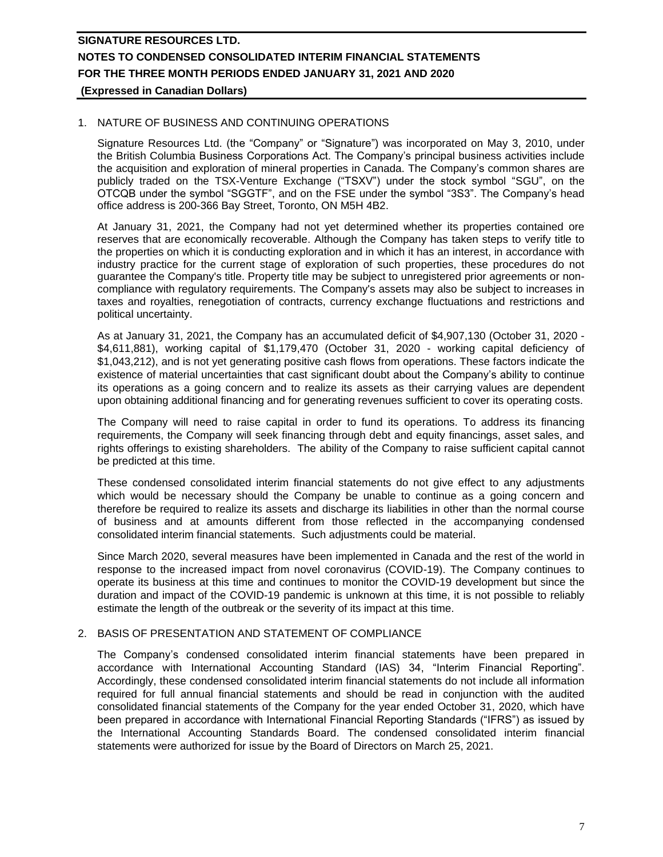## 1. NATURE OF BUSINESS AND CONTINUING OPERATIONS

Signature Resources Ltd. (the "Company" or "Signature") was incorporated on May 3, 2010, under the British Columbia Business Corporations Act. The Company's principal business activities include the acquisition and exploration of mineral properties in Canada. The Company's common shares are publicly traded on the TSX-Venture Exchange ("TSXV") under the stock symbol "SGU", on the OTCQB under the symbol "SGGTF", and on the FSE under the symbol "3S3". The Company's head office address is 200-366 Bay Street, Toronto, ON M5H 4B2.

At January 31, 2021, the Company had not yet determined whether its properties contained ore reserves that are economically recoverable. Although the Company has taken steps to verify title to the properties on which it is conducting exploration and in which it has an interest, in accordance with industry practice for the current stage of exploration of such properties, these procedures do not guarantee the Company's title. Property title may be subject to unregistered prior agreements or noncompliance with regulatory requirements. The Company's assets may also be subject to increases in taxes and royalties, renegotiation of contracts, currency exchange fluctuations and restrictions and political uncertainty.

As at January 31, 2021, the Company has an accumulated deficit of \$4,907,130 (October 31, 2020 - \$4,611,881), working capital of \$1,179,470 (October 31, 2020 - working capital deficiency of \$1,043,212), and is not yet generating positive cash flows from operations. These factors indicate the existence of material uncertainties that cast significant doubt about the Company's ability to continue its operations as a going concern and to realize its assets as their carrying values are dependent upon obtaining additional financing and for generating revenues sufficient to cover its operating costs.

The Company will need to raise capital in order to fund its operations. To address its financing requirements, the Company will seek financing through debt and equity financings, asset sales, and rights offerings to existing shareholders. The ability of the Company to raise sufficient capital cannot be predicted at this time.

These condensed consolidated interim financial statements do not give effect to any adjustments which would be necessary should the Company be unable to continue as a going concern and therefore be required to realize its assets and discharge its liabilities in other than the normal course of business and at amounts different from those reflected in the accompanying condensed consolidated interim financial statements. Such adjustments could be material.

Since March 2020, several measures have been implemented in Canada and the rest of the world in response to the increased impact from novel coronavirus (COVID-19). The Company continues to operate its business at this time and continues to monitor the COVID-19 development but since the duration and impact of the COVID-19 pandemic is unknown at this time, it is not possible to reliably estimate the length of the outbreak or the severity of its impact at this time.

## 2. BASIS OF PRESENTATION AND STATEMENT OF COMPLIANCE

The Company's condensed consolidated interim financial statements have been prepared in accordance with International Accounting Standard (IAS) 34, "Interim Financial Reporting". Accordingly, these condensed consolidated interim financial statements do not include all information required for full annual financial statements and should be read in conjunction with the audited consolidated financial statements of the Company for the year ended October 31, 2020, which have been prepared in accordance with International Financial Reporting Standards ("IFRS") as issued by the International Accounting Standards Board. The condensed consolidated interim financial statements were authorized for issue by the Board of Directors on March 25, 2021.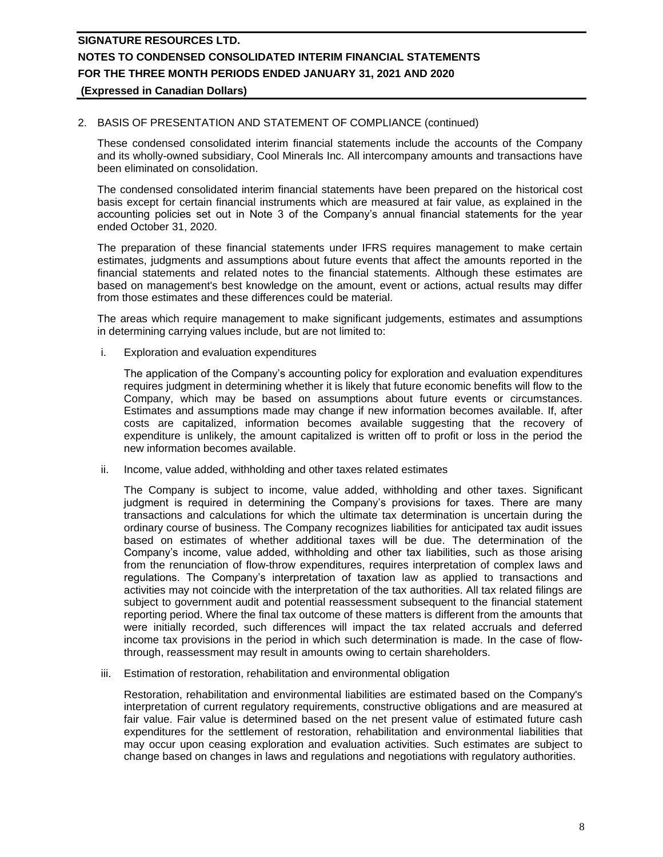## 2. BASIS OF PRESENTATION AND STATEMENT OF COMPLIANCE (continued)

These condensed consolidated interim financial statements include the accounts of the Company and its wholly-owned subsidiary, Cool Minerals Inc. All intercompany amounts and transactions have been eliminated on consolidation.

The condensed consolidated interim financial statements have been prepared on the historical cost basis except for certain financial instruments which are measured at fair value, as explained in the accounting policies set out in Note 3 of the Company's annual financial statements for the year ended October 31, 2020.

The preparation of these financial statements under IFRS requires management to make certain estimates, judgments and assumptions about future events that affect the amounts reported in the financial statements and related notes to the financial statements. Although these estimates are based on management's best knowledge on the amount, event or actions, actual results may differ from those estimates and these differences could be material.

The areas which require management to make significant judgements, estimates and assumptions in determining carrying values include, but are not limited to:

i. Exploration and evaluation expenditures

The application of the Company's accounting policy for exploration and evaluation expenditures requires judgment in determining whether it is likely that future economic benefits will flow to the Company, which may be based on assumptions about future events or circumstances. Estimates and assumptions made may change if new information becomes available. If, after costs are capitalized, information becomes available suggesting that the recovery of expenditure is unlikely, the amount capitalized is written off to profit or loss in the period the new information becomes available.

ii. Income, value added, withholding and other taxes related estimates

The Company is subject to income, value added, withholding and other taxes. Significant judgment is required in determining the Company's provisions for taxes. There are many transactions and calculations for which the ultimate tax determination is uncertain during the ordinary course of business. The Company recognizes liabilities for anticipated tax audit issues based on estimates of whether additional taxes will be due. The determination of the Company's income, value added, withholding and other tax liabilities, such as those arising from the renunciation of flow-throw expenditures, requires interpretation of complex laws and regulations. The Company's interpretation of taxation law as applied to transactions and activities may not coincide with the interpretation of the tax authorities. All tax related filings are subject to government audit and potential reassessment subsequent to the financial statement reporting period. Where the final tax outcome of these matters is different from the amounts that were initially recorded, such differences will impact the tax related accruals and deferred income tax provisions in the period in which such determination is made. In the case of flowthrough, reassessment may result in amounts owing to certain shareholders.

iii. Estimation of restoration, rehabilitation and environmental obligation

Restoration, rehabilitation and environmental liabilities are estimated based on the Company's interpretation of current regulatory requirements, constructive obligations and are measured at fair value. Fair value is determined based on the net present value of estimated future cash expenditures for the settlement of restoration, rehabilitation and environmental liabilities that may occur upon ceasing exploration and evaluation activities. Such estimates are subject to change based on changes in laws and regulations and negotiations with regulatory authorities.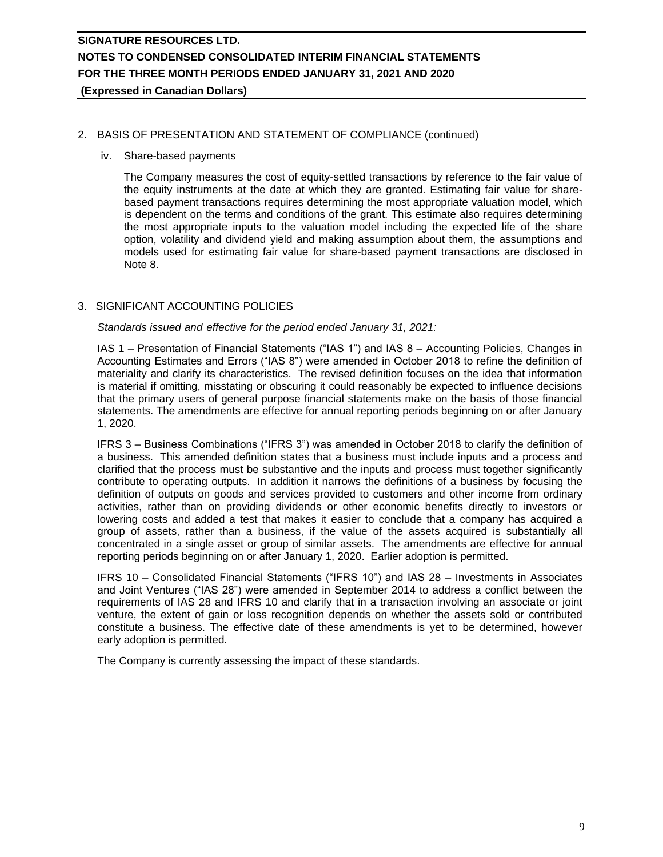### 2. BASIS OF PRESENTATION AND STATEMENT OF COMPLIANCE (continued)

#### iv. Share-based payments

The Company measures the cost of equity-settled transactions by reference to the fair value of the equity instruments at the date at which they are granted. Estimating fair value for sharebased payment transactions requires determining the most appropriate valuation model, which is dependent on the terms and conditions of the grant. This estimate also requires determining the most appropriate inputs to the valuation model including the expected life of the share option, volatility and dividend yield and making assumption about them, the assumptions and models used for estimating fair value for share-based payment transactions are disclosed in Note 8.

## 3. SIGNIFICANT ACCOUNTING POLICIES

*Standards issued and effective for the period ended January 31, 2021:*

IAS 1 – Presentation of Financial Statements ("IAS 1") and IAS 8 – Accounting Policies, Changes in Accounting Estimates and Errors ("IAS 8") were amended in October 2018 to refine the definition of materiality and clarify its characteristics. The revised definition focuses on the idea that information is material if omitting, misstating or obscuring it could reasonably be expected to influence decisions that the primary users of general purpose financial statements make on the basis of those financial statements. The amendments are effective for annual reporting periods beginning on or after January 1, 2020.

IFRS 3 – Business Combinations ("IFRS 3") was amended in October 2018 to clarify the definition of a business. This amended definition states that a business must include inputs and a process and clarified that the process must be substantive and the inputs and process must together significantly contribute to operating outputs. In addition it narrows the definitions of a business by focusing the definition of outputs on goods and services provided to customers and other income from ordinary activities, rather than on providing dividends or other economic benefits directly to investors or lowering costs and added a test that makes it easier to conclude that a company has acquired a group of assets, rather than a business, if the value of the assets acquired is substantially all concentrated in a single asset or group of similar assets. The amendments are effective for annual reporting periods beginning on or after January 1, 2020. Earlier adoption is permitted.

IFRS 10 – Consolidated Financial Statements ("IFRS 10") and IAS 28 – Investments in Associates and Joint Ventures ("IAS 28") were amended in September 2014 to address a conflict between the requirements of IAS 28 and IFRS 10 and clarify that in a transaction involving an associate or joint venture, the extent of gain or loss recognition depends on whether the assets sold or contributed constitute a business. The effective date of these amendments is yet to be determined, however early adoption is permitted.

The Company is currently assessing the impact of these standards.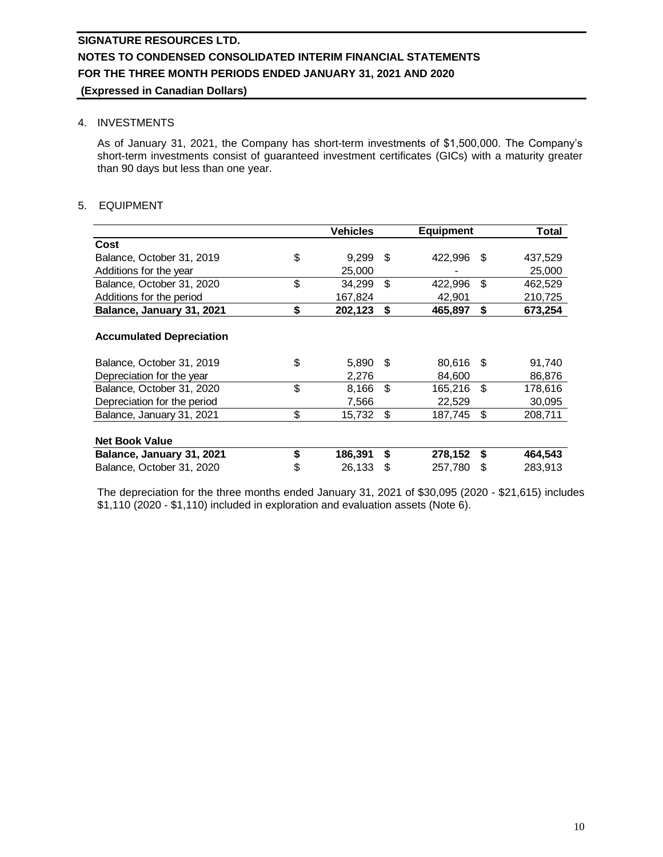### 4. INVESTMENTS

As of January 31, 2021, the Company has short-term investments of \$1,500,000. The Company's short-term investments consist of guaranteed investment certificates (GICs) with a maturity greater than 90 days but less than one year.

## 5. EQUIPMENT

|                                 | <b>Vehicles</b> |      | <b>Equipment</b> |      | Total   |
|---------------------------------|-----------------|------|------------------|------|---------|
| Cost                            |                 |      |                  |      |         |
| Balance, October 31, 2019       | \$<br>9.299     | - \$ | 422,996          | - \$ | 437,529 |
| Additions for the year          | 25,000          |      |                  |      | 25,000  |
| Balance, October 31, 2020       | \$<br>34,299    | -\$  | 422,996          | \$   | 462,529 |
| Additions for the period        | 167,824         |      | 42,901           |      | 210,725 |
| Balance, January 31, 2021       | \$<br>202,123   | \$   | 465,897          | \$   | 673,254 |
|                                 |                 |      |                  |      |         |
| <b>Accumulated Depreciation</b> |                 |      |                  |      |         |
| Balance, October 31, 2019       | \$<br>5,890 \$  |      | 80,616           | - \$ | 91,740  |
| Depreciation for the year       | 2,276           |      | 84,600           |      | 86,876  |
| Balance, October 31, 2020       | \$<br>8,166     | \$   | 165,216          | \$   | 178,616 |
| Depreciation for the period     | 7,566           |      | 22,529           |      | 30,095  |
| Balance, January 31, 2021       | \$<br>15,732    | \$   | 187,745          | \$   | 208,711 |
|                                 |                 |      |                  |      |         |
| <b>Net Book Value</b>           |                 |      |                  |      |         |
| Balance, January 31, 2021       | \$<br>186,391   | \$   | 278,152          | \$   | 464,543 |
| Balance, October 31, 2020       | \$<br>26,133    | \$   | 257,780          | S    | 283,913 |

The depreciation for the three months ended January 31, 2021 of \$30,095 (2020 - \$21,615) includes \$1,110 (2020 - \$1,110) included in exploration and evaluation assets (Note 6).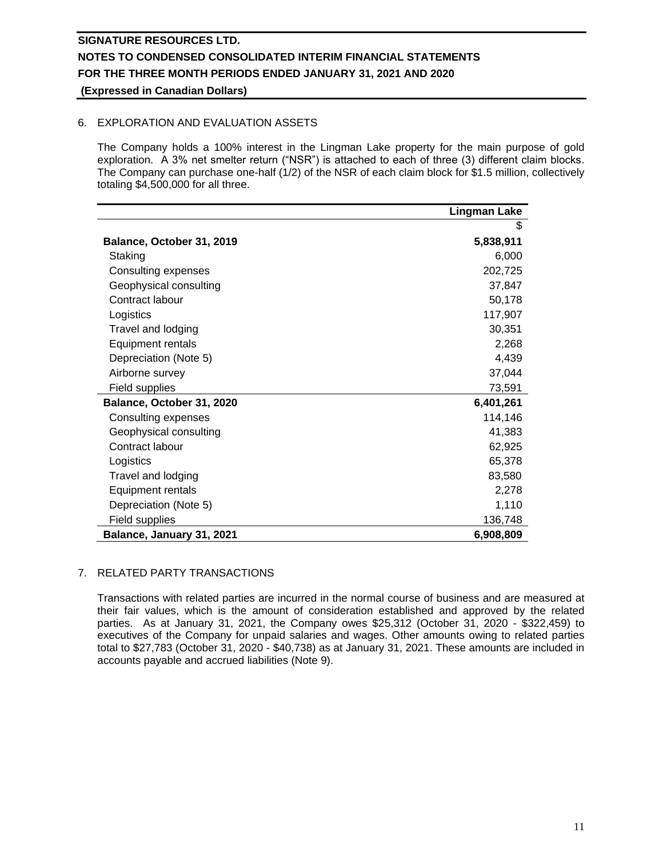## 6. EXPLORATION AND EVALUATION ASSETS

The Company holds a 100% interest in the Lingman Lake property for the main purpose of gold exploration. A 3% net smelter return ("NSR") is attached to each of three (3) different claim blocks. The Company can purchase one-half (1/2) of the NSR of each claim block for \$1.5 million, collectively totaling \$4,500,000 for all three.

|                           | <b>Lingman Lake</b> |
|---------------------------|---------------------|
|                           | \$                  |
| Balance, October 31, 2019 | 5,838,911           |
| Staking                   | 6,000               |
| Consulting expenses       | 202,725             |
| Geophysical consulting    | 37,847              |
| Contract labour           | 50,178              |
| Logistics                 | 117,907             |
| Travel and lodging        | 30,351              |
| <b>Equipment rentals</b>  | 2,268               |
| Depreciation (Note 5)     | 4,439               |
| Airborne survey           | 37,044              |
| Field supplies            | 73,591              |
| Balance, October 31, 2020 | 6,401,261           |
| Consulting expenses       | 114,146             |
| Geophysical consulting    | 41,383              |
| Contract labour           | 62,925              |
| Logistics                 | 65,378              |
| Travel and lodging        | 83,580              |
| Equipment rentals         | 2,278               |
| Depreciation (Note 5)     | 1,110               |
| Field supplies            | 136,748             |
| Balance, January 31, 2021 | 6,908,809           |

## 7. RELATED PARTY TRANSACTIONS

Transactions with related parties are incurred in the normal course of business and are measured at their fair values, which is the amount of consideration established and approved by the related parties. As at January 31, 2021, the Company owes \$25,312 (October 31, 2020 - \$322,459) to executives of the Company for unpaid salaries and wages. Other amounts owing to related parties total to \$27,783 (October 31, 2020 - \$40,738) as at January 31, 2021. These amounts are included in accounts payable and accrued liabilities (Note 9).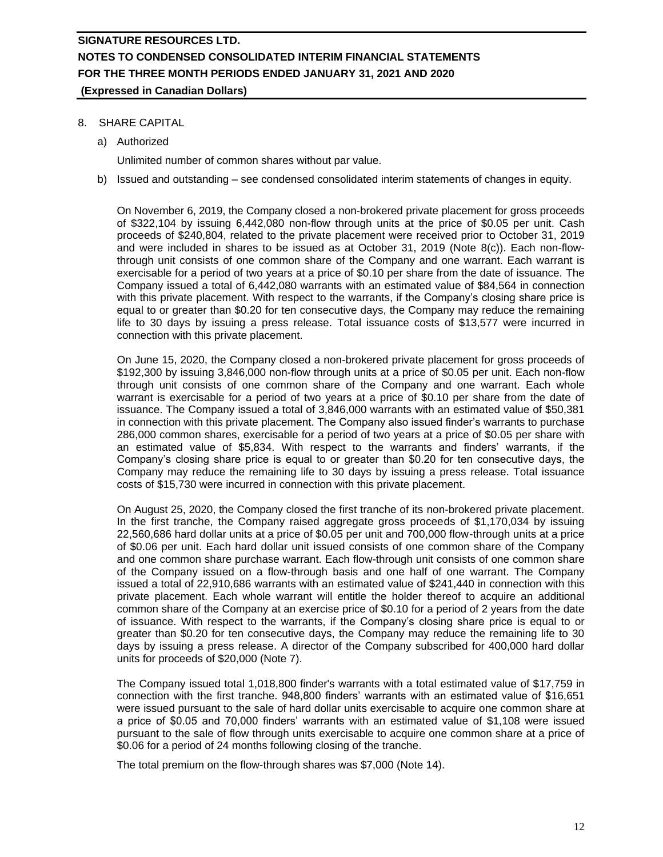## 8. SHARE CAPITAL

a) Authorized

Unlimited number of common shares without par value.

b) Issued and outstanding – see condensed consolidated interim statements of changes in equity.

On November 6, 2019, the Company closed a non-brokered private placement for gross proceeds of \$322,104 by issuing 6,442,080 non-flow through units at the price of \$0.05 per unit. Cash proceeds of \$240,804, related to the private placement were received prior to October 31, 2019 and were included in shares to be issued as at October 31, 2019 (Note 8(c)). Each non-flowthrough unit consists of one common share of the Company and one warrant. Each warrant is exercisable for a period of two years at a price of \$0.10 per share from the date of issuance. The Company issued a total of 6,442,080 warrants with an estimated value of \$84,564 in connection with this private placement. With respect to the warrants, if the Company's closing share price is equal to or greater than \$0.20 for ten consecutive days, the Company may reduce the remaining life to 30 days by issuing a press release. Total issuance costs of \$13,577 were incurred in connection with this private placement.

On June 15, 2020, the Company closed a non-brokered private placement for gross proceeds of \$192,300 by issuing 3,846,000 non-flow through units at a price of \$0.05 per unit. Each non-flow through unit consists of one common share of the Company and one warrant. Each whole warrant is exercisable for a period of two years at a price of \$0.10 per share from the date of issuance. The Company issued a total of 3,846,000 warrants with an estimated value of \$50,381 in connection with this private placement. The Company also issued finder's warrants to purchase 286,000 common shares, exercisable for a period of two years at a price of \$0.05 per share with an estimated value of \$5,834. With respect to the warrants and finders' warrants, if the Company's closing share price is equal to or greater than \$0.20 for ten consecutive days, the Company may reduce the remaining life to 30 days by issuing a press release. Total issuance costs of \$15,730 were incurred in connection with this private placement.

On August 25, 2020, the Company closed the first tranche of its non-brokered private placement. In the first tranche, the Company raised aggregate gross proceeds of \$1,170,034 by issuing 22,560,686 hard dollar units at a price of \$0.05 per unit and 700,000 flow-through units at a price of \$0.06 per unit. Each hard dollar unit issued consists of one common share of the Company and one common share purchase warrant. Each flow-through unit consists of one common share of the Company issued on a flow-through basis and one half of one warrant. The Company issued a total of 22,910,686 warrants with an estimated value of \$241,440 in connection with this private placement. Each whole warrant will entitle the holder thereof to acquire an additional common share of the Company at an exercise price of \$0.10 for a period of 2 years from the date of issuance. With respect to the warrants, if the Company's closing share price is equal to or greater than \$0.20 for ten consecutive days, the Company may reduce the remaining life to 30 days by issuing a press release. A director of the Company subscribed for 400,000 hard dollar units for proceeds of \$20,000 (Note 7).

The Company issued total 1,018,800 finder's warrants with a total estimated value of \$17,759 in connection with the first tranche. 948,800 finders' warrants with an estimated value of \$16,651 were issued pursuant to the sale of hard dollar units exercisable to acquire one common share at a price of \$0.05 and 70,000 finders' warrants with an estimated value of \$1,108 were issued pursuant to the sale of flow through units exercisable to acquire one common share at a price of \$0.06 for a period of 24 months following closing of the tranche.

The total premium on the flow-through shares was \$7,000 (Note 14).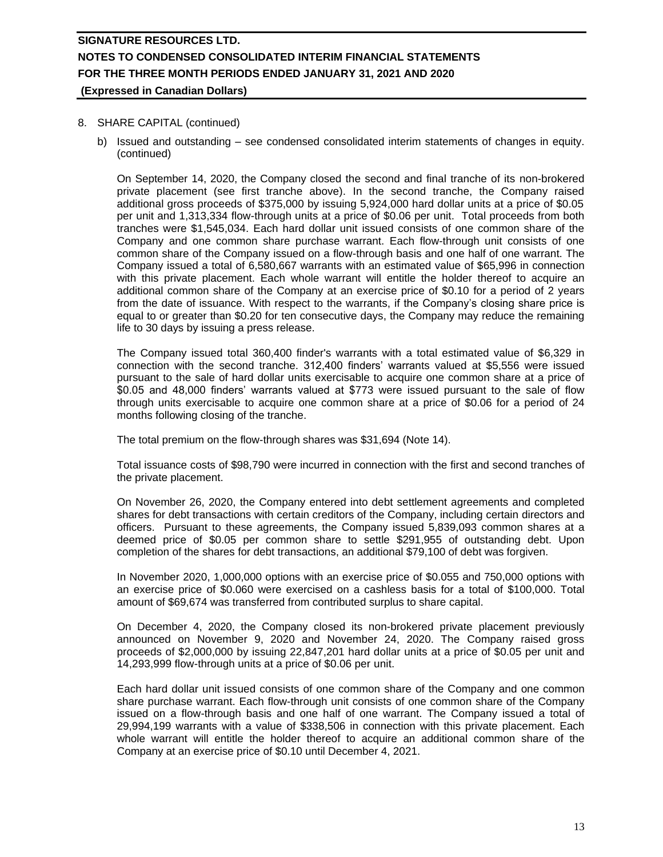### 8. SHARE CAPITAL (continued)

b) Issued and outstanding – see condensed consolidated interim statements of changes in equity. (continued)

On September 14, 2020, the Company closed the second and final tranche of its non-brokered private placement (see first tranche above). In the second tranche, the Company raised additional gross proceeds of \$375,000 by issuing 5,924,000 hard dollar units at a price of \$0.05 per unit and 1,313,334 flow-through units at a price of \$0.06 per unit. Total proceeds from both tranches were \$1,545,034. Each hard dollar unit issued consists of one common share of the Company and one common share purchase warrant. Each flow-through unit consists of one common share of the Company issued on a flow-through basis and one half of one warrant. The Company issued a total of 6,580,667 warrants with an estimated value of \$65,996 in connection with this private placement. Each whole warrant will entitle the holder thereof to acquire an additional common share of the Company at an exercise price of \$0.10 for a period of 2 years from the date of issuance. With respect to the warrants, if the Company's closing share price is equal to or greater than \$0.20 for ten consecutive days, the Company may reduce the remaining life to 30 days by issuing a press release.

The Company issued total 360,400 finder's warrants with a total estimated value of \$6,329 in connection with the second tranche. 312,400 finders' warrants valued at \$5,556 were issued pursuant to the sale of hard dollar units exercisable to acquire one common share at a price of \$0.05 and 48,000 finders' warrants valued at \$773 were issued pursuant to the sale of flow through units exercisable to acquire one common share at a price of \$0.06 for a period of 24 months following closing of the tranche.

The total premium on the flow-through shares was \$31,694 (Note 14).

Total issuance costs of \$98,790 were incurred in connection with the first and second tranches of the private placement.

On November 26, 2020, the Company entered into debt settlement agreements and completed shares for debt transactions with certain creditors of the Company, including certain directors and officers. Pursuant to these agreements, the Company issued 5,839,093 common shares at a deemed price of \$0.05 per common share to settle \$291,955 of outstanding debt. Upon completion of the shares for debt transactions, an additional \$79,100 of debt was forgiven.

In November 2020, 1,000,000 options with an exercise price of \$0.055 and 750,000 options with an exercise price of \$0.060 were exercised on a cashless basis for a total of \$100,000. Total amount of \$69,674 was transferred from contributed surplus to share capital.

On December 4, 2020, the Company closed its non-brokered private placement previously announced on November 9, 2020 and November 24, 2020. The Company raised gross proceeds of \$2,000,000 by issuing 22,847,201 hard dollar units at a price of \$0.05 per unit and 14,293,999 flow-through units at a price of \$0.06 per unit.

Each hard dollar unit issued consists of one common share of the Company and one common share purchase warrant. Each flow-through unit consists of one common share of the Company issued on a flow-through basis and one half of one warrant. The Company issued a total of 29,994,199 warrants with a value of \$338,506 in connection with this private placement. Each whole warrant will entitle the holder thereof to acquire an additional common share of the Company at an exercise price of \$0.10 until December 4, 2021.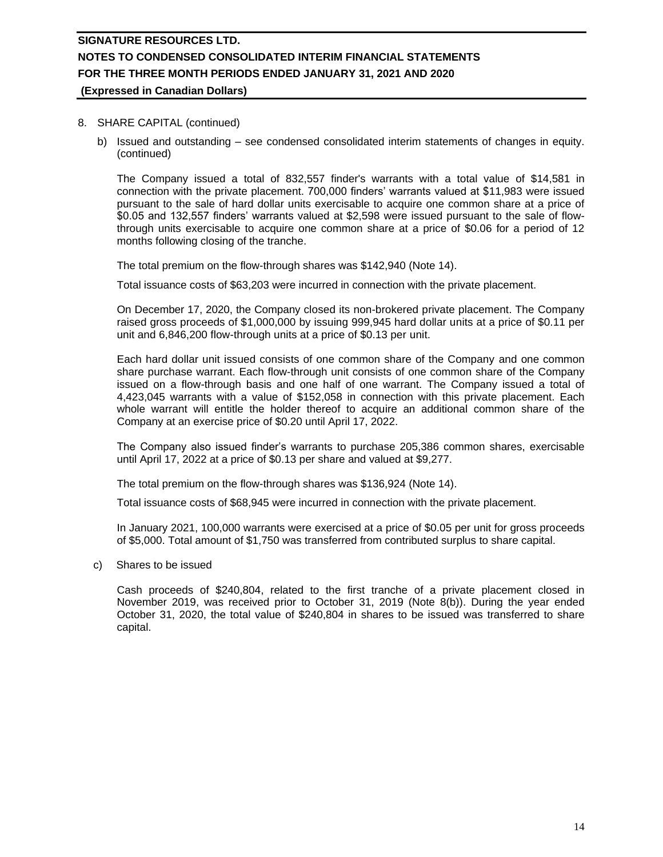#### 8. SHARE CAPITAL (continued)

b) Issued and outstanding – see condensed consolidated interim statements of changes in equity. (continued)

The Company issued a total of 832,557 finder's warrants with a total value of \$14,581 in connection with the private placement. 700,000 finders' warrants valued at \$11,983 were issued pursuant to the sale of hard dollar units exercisable to acquire one common share at a price of \$0.05 and 132,557 finders' warrants valued at \$2,598 were issued pursuant to the sale of flowthrough units exercisable to acquire one common share at a price of \$0.06 for a period of 12 months following closing of the tranche.

The total premium on the flow-through shares was \$142,940 (Note 14).

Total issuance costs of \$63,203 were incurred in connection with the private placement.

On December 17, 2020, the Company closed its non-brokered private placement. The Company raised gross proceeds of \$1,000,000 by issuing 999,945 hard dollar units at a price of \$0.11 per unit and 6,846,200 flow-through units at a price of \$0.13 per unit.

Each hard dollar unit issued consists of one common share of the Company and one common share purchase warrant. Each flow-through unit consists of one common share of the Company issued on a flow-through basis and one half of one warrant. The Company issued a total of 4,423,045 warrants with a value of \$152,058 in connection with this private placement. Each whole warrant will entitle the holder thereof to acquire an additional common share of the Company at an exercise price of \$0.20 until April 17, 2022.

The Company also issued finder's warrants to purchase 205,386 common shares, exercisable until April 17, 2022 at a price of \$0.13 per share and valued at \$9,277.

The total premium on the flow-through shares was \$136,924 (Note 14).

Total issuance costs of \$68,945 were incurred in connection with the private placement.

In January 2021, 100,000 warrants were exercised at a price of \$0.05 per unit for gross proceeds of \$5,000. Total amount of \$1,750 was transferred from contributed surplus to share capital.

c) Shares to be issued

Cash proceeds of \$240,804, related to the first tranche of a private placement closed in November 2019, was received prior to October 31, 2019 (Note 8(b)). During the year ended October 31, 2020, the total value of \$240,804 in shares to be issued was transferred to share capital.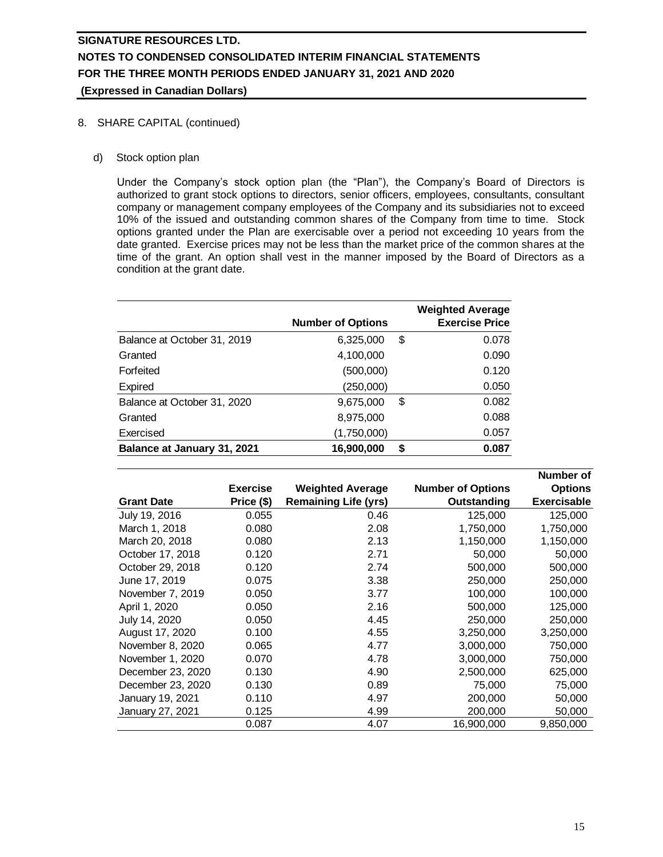- 8. SHARE CAPITAL (continued)
	- d) Stock option plan

Under the Company's stock option plan (the "Plan"), the Company's Board of Directors is authorized to grant stock options to directors, senior officers, employees, consultants, consultant company or management company employees of the Company and its subsidiaries not to exceed 10% of the issued and outstanding common shares of the Company from time to time. Stock options granted under the Plan are exercisable over a period not exceeding 10 years from the date granted. Exercise prices may not be less than the market price of the common shares at the time of the grant. An option shall vest in the manner imposed by the Board of Directors as a condition at the grant date.

|                             | <b>Number of Options</b> |    | <b>Weighted Average</b><br><b>Exercise Price</b> |
|-----------------------------|--------------------------|----|--------------------------------------------------|
| Balance at October 31, 2019 | 6,325,000                | \$ | 0.078                                            |
| Granted                     | 4,100,000                |    | 0.090                                            |
| Forfeited                   | (500,000)                |    | 0.120                                            |
| Expired                     | (250,000)                |    | 0.050                                            |
| Balance at October 31, 2020 | 9,675,000                | \$ | 0.082                                            |
| Granted                     | 8,975,000                |    | 0.088                                            |
| Exercised                   | (1,750,000)              |    | 0.057                                            |
| Balance at January 31, 2021 | 16,900,000               | S  | 0.087                                            |

|                   |                 |                             |                          | Number of          |
|-------------------|-----------------|-----------------------------|--------------------------|--------------------|
|                   | <b>Exercise</b> | <b>Weighted Average</b>     | <b>Number of Options</b> | <b>Options</b>     |
| <b>Grant Date</b> | Price (\$)      | <b>Remaining Life (yrs)</b> | Outstanding              | <b>Exercisable</b> |
| July 19, 2016     | 0.055           | 0.46                        | 125,000                  | 125,000            |
| March 1, 2018     | 0.080           | 2.08                        | 1,750,000                | 1,750,000          |
| March 20, 2018    | 0.080           | 2.13                        | 1,150,000                | 1,150,000          |
| October 17, 2018  | 0.120           | 2.71                        | 50,000                   | 50,000             |
| October 29, 2018  | 0.120           | 2.74                        | 500,000                  | 500,000            |
| June 17, 2019     | 0.075           | 3.38                        | 250,000                  | 250,000            |
| November 7, 2019  | 0.050           | 3.77                        | 100,000                  | 100,000            |
| April 1, 2020     | 0.050           | 2.16                        | 500,000                  | 125,000            |
| July 14, 2020     | 0.050           | 4.45                        | 250,000                  | 250,000            |
| August 17, 2020   | 0.100           | 4.55                        | 3,250,000                | 3,250,000          |
| November 8, 2020  | 0.065           | 4.77                        | 3,000,000                | 750,000            |
| November 1, 2020  | 0.070           | 4.78                        | 3,000,000                | 750,000            |
| December 23, 2020 | 0.130           | 4.90                        | 2,500,000                | 625,000            |
| December 23, 2020 | 0.130           | 0.89                        | 75,000                   | 75,000             |
| January 19, 2021  | 0.110           | 4.97                        | 200,000                  | 50,000             |
| January 27, 2021  | 0.125           | 4.99                        | 200,000                  | 50,000             |
|                   | 0.087           | 4.07                        | 16,900,000               | 9,850,000          |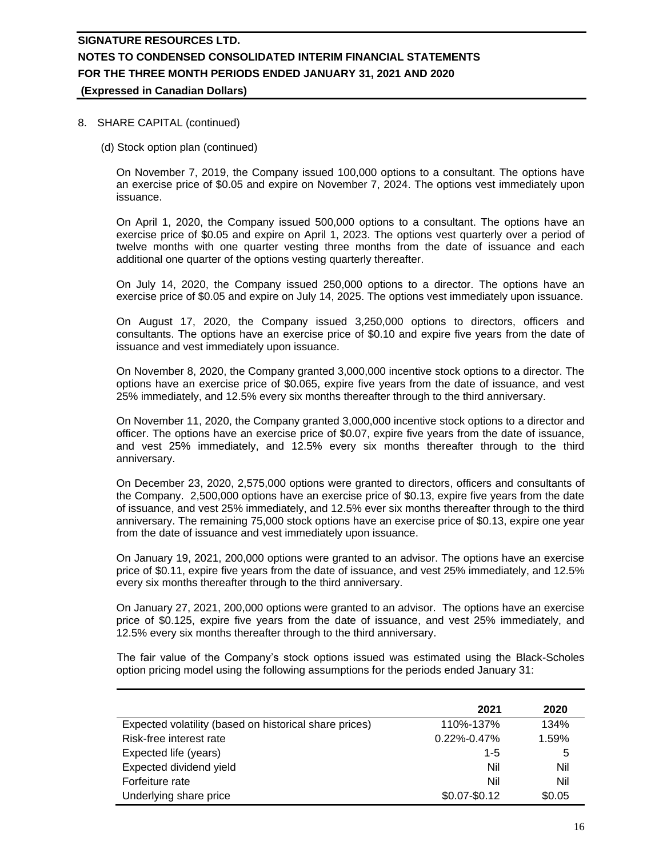### 8. SHARE CAPITAL (continued)

(d) Stock option plan (continued)

On November 7, 2019, the Company issued 100,000 options to a consultant. The options have an exercise price of \$0.05 and expire on November 7, 2024. The options vest immediately upon issuance.

On April 1, 2020, the Company issued 500,000 options to a consultant. The options have an exercise price of \$0.05 and expire on April 1, 2023. The options vest quarterly over a period of twelve months with one quarter vesting three months from the date of issuance and each additional one quarter of the options vesting quarterly thereafter.

On July 14, 2020, the Company issued 250,000 options to a director. The options have an exercise price of \$0.05 and expire on July 14, 2025. The options vest immediately upon issuance.

On August 17, 2020, the Company issued 3,250,000 options to directors, officers and consultants. The options have an exercise price of \$0.10 and expire five years from the date of issuance and vest immediately upon issuance.

On November 8, 2020, the Company granted 3,000,000 incentive stock options to a director. The options have an exercise price of \$0.065, expire five years from the date of issuance, and vest 25% immediately, and 12.5% every six months thereafter through to the third anniversary.

On November 11, 2020, the Company granted 3,000,000 incentive stock options to a director and officer. The options have an exercise price of \$0.07, expire five years from the date of issuance, and vest 25% immediately, and 12.5% every six months thereafter through to the third anniversary.

On December 23, 2020, 2,575,000 options were granted to directors, officers and consultants of the Company. 2,500,000 options have an exercise price of \$0.13, expire five years from the date of issuance, and vest 25% immediately, and 12.5% ever six months thereafter through to the third anniversary. The remaining 75,000 stock options have an exercise price of \$0.13, expire one year from the date of issuance and vest immediately upon issuance.

On January 19, 2021, 200,000 options were granted to an advisor. The options have an exercise price of \$0.11, expire five years from the date of issuance, and vest 25% immediately, and 12.5% every six months thereafter through to the third anniversary.

On January 27, 2021, 200,000 options were granted to an advisor. The options have an exercise price of \$0.125, expire five years from the date of issuance, and vest 25% immediately, and 12.5% every six months thereafter through to the third anniversary.

The fair value of the Company's stock options issued was estimated using the Black-Scholes option pricing model using the following assumptions for the periods ended January 31:

|                                                        | 2021              | 2020   |
|--------------------------------------------------------|-------------------|--------|
| Expected volatility (based on historical share prices) | 110%-137%         | 134%   |
| Risk-free interest rate                                | $0.22\% - 0.47\%$ | 1.59%  |
| Expected life (years)                                  | $1 - 5$           | 5      |
| Expected dividend yield                                | Nil               | Nil    |
| Forfeiture rate                                        | Nil               | Nil    |
| Underlying share price                                 | $$0.07 - $0.12$   | \$0.05 |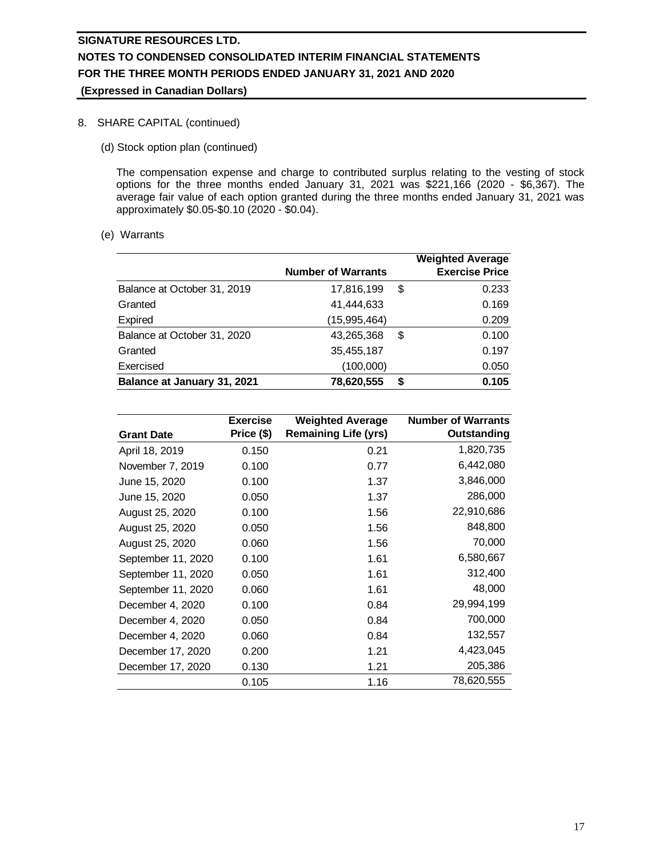## 8. SHARE CAPITAL (continued)

(d) Stock option plan (continued)

The compensation expense and charge to contributed surplus relating to the vesting of stock options for the three months ended January 31, 2021 was \$221,166 (2020 - \$6,367). The average fair value of each option granted during the three months ended January 31, 2021 was approximately \$0.05-\$0.10 (2020 - \$0.04).

(e) Warrants

|                             | <b>Number of Warrants</b> |    | <b>Weighted Average</b><br><b>Exercise Price</b> |
|-----------------------------|---------------------------|----|--------------------------------------------------|
| Balance at October 31, 2019 | 17,816,199                | \$ | 0.233                                            |
| Granted                     | 41,444,633                |    | 0.169                                            |
| Expired                     | (15,995,464)              |    | 0.209                                            |
| Balance at October 31, 2020 | 43,265,368                | \$ | 0.100                                            |
| Granted                     | 35,455,187                |    | 0.197                                            |
| Exercised                   | (100,000)                 |    | 0.050                                            |
| Balance at January 31, 2021 | 78,620,555                | S  | 0.105                                            |

|                    | <b>Exercise</b> | <b>Weighted Average</b>     | <b>Number of Warrants</b> |
|--------------------|-----------------|-----------------------------|---------------------------|
| <b>Grant Date</b>  | Price (\$)      | <b>Remaining Life (yrs)</b> | Outstanding               |
| April 18, 2019     | 0.150           | 0.21                        | 1,820,735                 |
| November 7, 2019   | 0.100           | 0.77                        | 6,442,080                 |
| June 15, 2020      | 0.100           | 1.37                        | 3,846,000                 |
| June 15, 2020      | 0.050           | 1.37                        | 286,000                   |
| August 25, 2020    | 0.100           | 1.56                        | 22,910,686                |
| August 25, 2020    | 0.050           | 1.56                        | 848,800                   |
| August 25, 2020    | 0.060           | 1.56                        | 70,000                    |
| September 11, 2020 | 0.100           | 1.61                        | 6,580,667                 |
| September 11, 2020 | 0.050           | 1.61                        | 312,400                   |
| September 11, 2020 | 0.060           | 1.61                        | 48,000                    |
| December 4, 2020   | 0.100           | 0.84                        | 29,994,199                |
| December 4, 2020   | 0.050           | 0.84                        | 700,000                   |
| December 4, 2020   | 0.060           | 0.84                        | 132,557                   |
| December 17, 2020  | 0.200           | 1.21                        | 4,423,045                 |
| December 17, 2020  | 0.130           | 1.21                        | 205,386                   |
|                    | 0.105           | 1.16                        | 78,620,555                |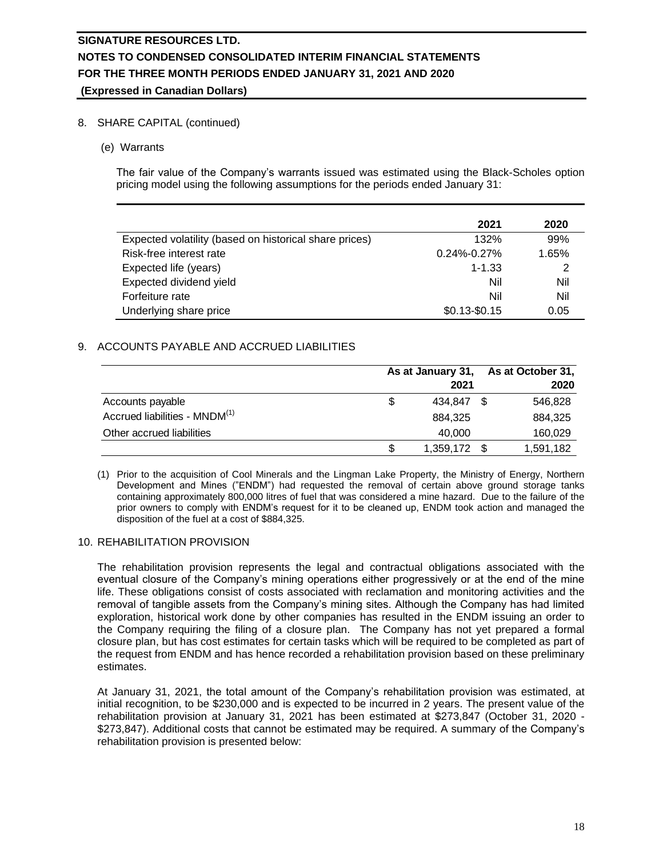## 8. SHARE CAPITAL (continued)

(e) Warrants

The fair value of the Company's warrants issued was estimated using the Black-Scholes option pricing model using the following assumptions for the periods ended January 31:

|                                                        | 2021              | 2020  |
|--------------------------------------------------------|-------------------|-------|
| Expected volatility (based on historical share prices) | 132%              | 99%   |
| Risk-free interest rate                                | $0.24\% - 0.27\%$ | 1.65% |
| Expected life (years)                                  | $1 - 1.33$        | 2     |
| Expected dividend yield                                | Nil               | Nil   |
| Forfeiture rate                                        | Nil               | Nil   |
| Underlying share price                                 | $$0.13 - $0.15$   | 0.05  |

## 9. ACCOUNTS PAYABLE AND ACCRUED LIABILITIES

|                                           |     | As at January 31,<br>2021 |  |           |
|-------------------------------------------|-----|---------------------------|--|-----------|
| Accounts payable                          | \$. | 434.847                   |  | 546,828   |
| Accrued liabilities - MNDM <sup>(1)</sup> |     | 884.325                   |  | 884.325   |
| Other accrued liabilities                 |     | 40.000                    |  | 160,029   |
|                                           | \$  | 1,359,172 \$              |  | 1,591,182 |

(1) Prior to the acquisition of Cool Minerals and the Lingman Lake Property, the Ministry of Energy, Northern Development and Mines ("ENDM") had requested the removal of certain above ground storage tanks containing approximately 800,000 litres of fuel that was considered a mine hazard. Due to the failure of the prior owners to comply with ENDM's request for it to be cleaned up, ENDM took action and managed the disposition of the fuel at a cost of \$884,325.

### 10. REHABILITATION PROVISION

The rehabilitation provision represents the legal and contractual obligations associated with the eventual closure of the Company's mining operations either progressively or at the end of the mine life. These obligations consist of costs associated with reclamation and monitoring activities and the removal of tangible assets from the Company's mining sites. Although the Company has had limited exploration, historical work done by other companies has resulted in the ENDM issuing an order to the Company requiring the filing of a closure plan. The Company has not yet prepared a formal closure plan, but has cost estimates for certain tasks which will be required to be completed as part of the request from ENDM and has hence recorded a rehabilitation provision based on these preliminary estimates.

At January 31, 2021, the total amount of the Company's rehabilitation provision was estimated, at initial recognition, to be \$230,000 and is expected to be incurred in 2 years. The present value of the rehabilitation provision at January 31, 2021 has been estimated at \$273,847 (October 31, 2020 - \$273,847). Additional costs that cannot be estimated may be required. A summary of the Company's rehabilitation provision is presented below: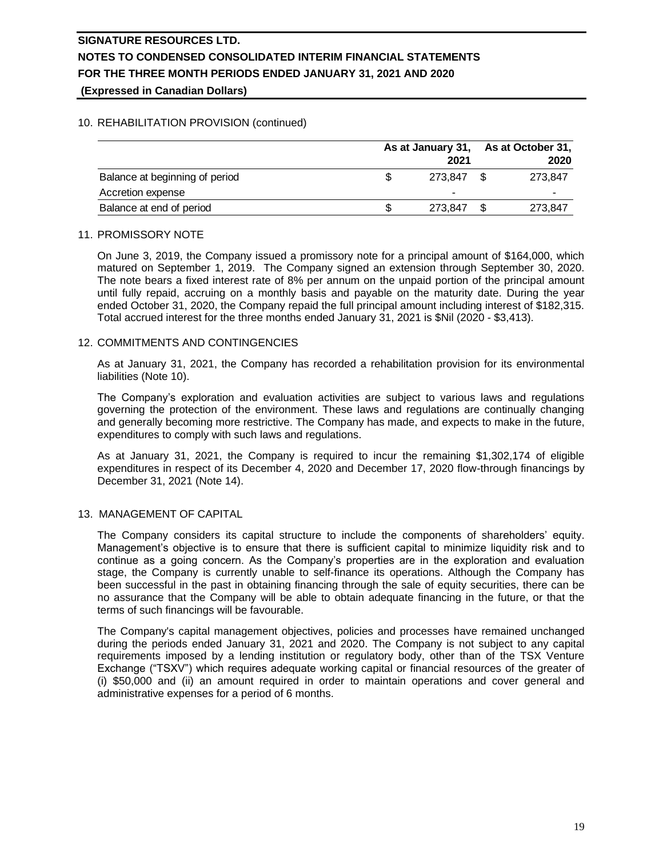## 10. REHABILITATION PROVISION (continued)

|                                | As at January 31,<br>2021 |         |  | As at October 31,<br>2020 |  |
|--------------------------------|---------------------------|---------|--|---------------------------|--|
| Balance at beginning of period |                           | 273.847 |  | 273.847                   |  |
| Accretion expense              |                           |         |  | -                         |  |
| Balance at end of period       |                           | 273.847 |  | 273,847                   |  |

### 11. PROMISSORY NOTE

On June 3, 2019, the Company issued a promissory note for a principal amount of \$164,000, which matured on September 1, 2019. The Company signed an extension through September 30, 2020. The note bears a fixed interest rate of 8% per annum on the unpaid portion of the principal amount until fully repaid, accruing on a monthly basis and payable on the maturity date. During the year ended October 31, 2020, the Company repaid the full principal amount including interest of \$182,315. Total accrued interest for the three months ended January 31, 2021 is \$Nil (2020 - \$3,413).

## 12. COMMITMENTS AND CONTINGENCIES

As at January 31, 2021, the Company has recorded a rehabilitation provision for its environmental liabilities (Note 10).

The Company's exploration and evaluation activities are subject to various laws and regulations governing the protection of the environment. These laws and regulations are continually changing and generally becoming more restrictive. The Company has made, and expects to make in the future, expenditures to comply with such laws and regulations.

As at January 31, 2021, the Company is required to incur the remaining \$1,302,174 of eligible expenditures in respect of its December 4, 2020 and December 17, 2020 flow-through financings by December 31, 2021 (Note 14).

## 13. MANAGEMENT OF CAPITAL

The Company considers its capital structure to include the components of shareholders' equity. Management's objective is to ensure that there is sufficient capital to minimize liquidity risk and to continue as a going concern. As the Company's properties are in the exploration and evaluation stage, the Company is currently unable to self-finance its operations. Although the Company has been successful in the past in obtaining financing through the sale of equity securities, there can be no assurance that the Company will be able to obtain adequate financing in the future, or that the terms of such financings will be favourable.

The Company's capital management objectives, policies and processes have remained unchanged during the periods ended January 31, 2021 and 2020. The Company is not subject to any capital requirements imposed by a lending institution or regulatory body, other than of the TSX Venture Exchange ("TSXV") which requires adequate working capital or financial resources of the greater of (i) \$50,000 and (ii) an amount required in order to maintain operations and cover general and administrative expenses for a period of 6 months.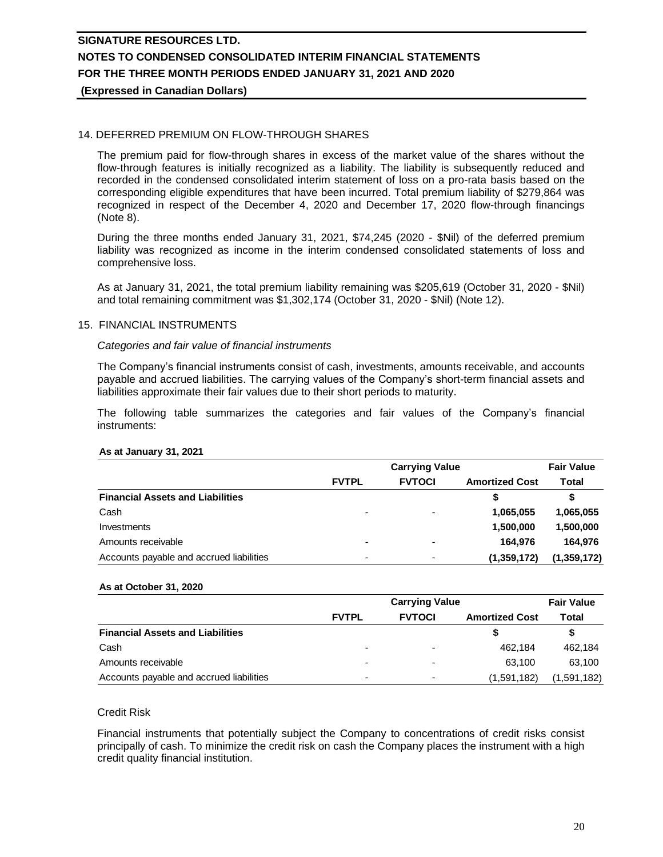## 14. DEFERRED PREMIUM ON FLOW-THROUGH SHARES

The premium paid for flow-through shares in excess of the market value of the shares without the flow-through features is initially recognized as a liability. The liability is subsequently reduced and recorded in the condensed consolidated interim statement of loss on a pro-rata basis based on the corresponding eligible expenditures that have been incurred. Total premium liability of \$279,864 was recognized in respect of the December 4, 2020 and December 17, 2020 flow-through financings (Note 8).

During the three months ended January 31, 2021, \$74,245 (2020 - \$Nil) of the deferred premium liability was recognized as income in the interim condensed consolidated statements of loss and comprehensive loss.

As at January 31, 2021, the total premium liability remaining was \$205,619 (October 31, 2020 - \$Nil) and total remaining commitment was \$1,302,174 (October 31, 2020 - \$Nil) (Note 12).

### 15. FINANCIAL INSTRUMENTS

#### *Categories and fair value of financial instruments*

The Company's financial instruments consist of cash, investments, amounts receivable, and accounts payable and accrued liabilities. The carrying values of the Company's short-term financial assets and liabilities approximate their fair values due to their short periods to maturity.

The following table summarizes the categories and fair values of the Company's financial instruments:

#### **As at January 31, 2021**

|                                          |              | <b>Fair Value</b> |                       |             |
|------------------------------------------|--------------|-------------------|-----------------------|-------------|
|                                          | <b>FVTPL</b> | <b>FVTOCI</b>     | <b>Amortized Cost</b> | Total       |
| <b>Financial Assets and Liabilities</b>  |              |                   |                       | S           |
| Cash                                     | -            |                   | 1,065,055             | 1,065,055   |
| Investments                              |              |                   | 1,500,000             | 1,500,000   |
| Amounts receivable                       |              |                   | 164.976               | 164.976     |
| Accounts payable and accrued liabilities |              |                   | (1,359,172)           | (1,359,172) |

#### **As at October 31, 2020**

|                                          |                          | <b>Fair Value</b>        |                       |             |
|------------------------------------------|--------------------------|--------------------------|-----------------------|-------------|
|                                          | <b>FVTPL</b>             | <b>FVTOCI</b>            | <b>Amortized Cost</b> | Total       |
| <b>Financial Assets and Liabilities</b>  |                          |                          |                       |             |
| Cash                                     | $\overline{\phantom{0}}$ | $\overline{\phantom{0}}$ | 462.184               | 462.184     |
| Amounts receivable                       | -                        |                          | 63.100                | 63.100      |
| Accounts payable and accrued liabilities | -                        | $\overline{\phantom{0}}$ | (1,591,182)           | (1,591,182) |

### Credit Risk

Financial instruments that potentially subject the Company to concentrations of credit risks consist principally of cash. To minimize the credit risk on cash the Company places the instrument with a high credit quality financial institution.